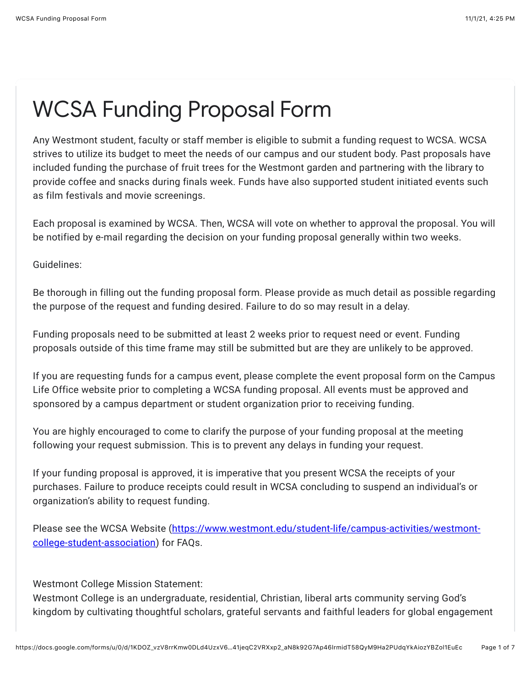## WCSA Funding Proposal Form

Any Westmont student, faculty or staff member is eligible to submit a funding request to WCSA. WCSA strives to utilize its budget to meet the needs of our campus and our student body. Past proposals have included funding the purchase of fruit trees for the Westmont garden and partnering with the library to provide coffee and snacks during finals week. Funds have also supported student initiated events such as film festivals and movie screenings.

Each proposal is examined by WCSA. Then, WCSA will vote on whether to approval the proposal. You will be notified by e-mail regarding the decision on your funding proposal generally within two weeks.

Guidelines:

Be thorough in filling out the funding proposal form. Please provide as much detail as possible regarding the purpose of the request and funding desired. Failure to do so may result in a delay.

Funding proposals need to be submitted at least 2 weeks prior to request need or event. Funding proposals outside of this time frame may still be submitted but are they are unlikely to be approved.

If you are requesting funds for a campus event, please complete the event proposal form on the Campus Life Office website prior to completing a WCSA funding proposal. All events must be approved and sponsored by a campus department or student organization prior to receiving funding.

You are highly encouraged to come to clarify the purpose of your funding proposal at the meeting following your request submission. This is to prevent any delays in funding your request.

If your funding proposal is approved, it is imperative that you present WCSA the receipts of your purchases. Failure to produce receipts could result in WCSA concluding to suspend an individual's or organization's ability to request funding.

[Please see the WCSA Website \(https://www.westmont.edu/student-life/campus-activities/westmont](https://www.google.com/url?q=https://www.westmont.edu/student-life/campus-activities/westmont-college-student-association&sa=D&source=editors&ust=1635812700032000&usg=AOvVaw3XZVpaLJBxAFEk6D5wKp5H)college-student-association) for FAQs.

Westmont College Mission Statement:

Westmont College is an undergraduate, residential, Christian, liberal arts community serving God's kingdom by cultivating thoughtful scholars, grateful servants and faithful leaders for global engagement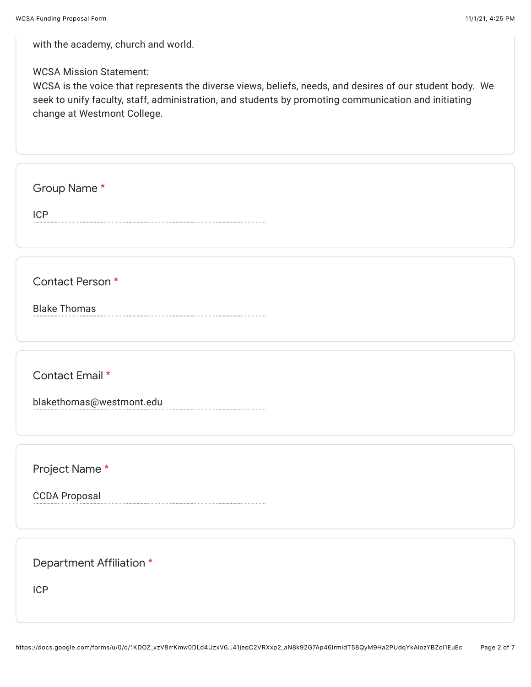with the academy, church and world.

WCSA Mission Statement:

WCSA is the voice that represents the diverse views, beliefs, needs, and desires of our student body. We seek to unify faculty, staff, administration, and students by promoting communication and initiating change at Westmont College.

Group Name \*

ICP

Contact Person \*

Blake Thomas

Contact Email \*

blakethomas@westmont.edu

Project Name \*

CCDA Proposal

Department Affiliation \*

ICP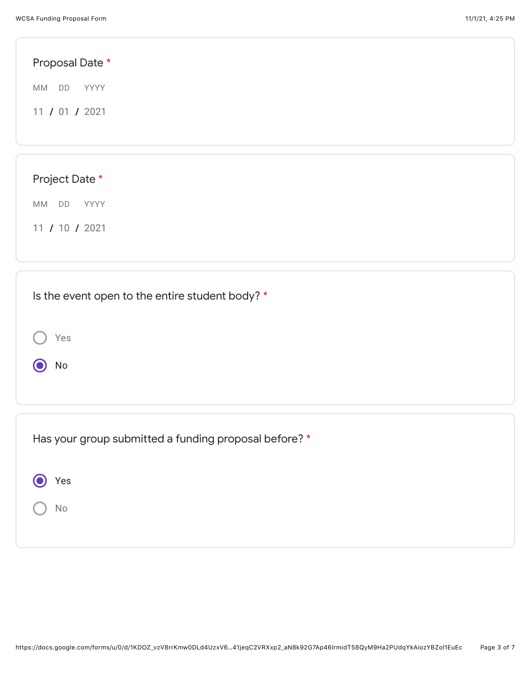Yes

No

| Proposal Date *                                 |  |  |  |  |  |
|-------------------------------------------------|--|--|--|--|--|
| MM DD<br>YYYY                                   |  |  |  |  |  |
| 11 / 01 / 2021                                  |  |  |  |  |  |
|                                                 |  |  |  |  |  |
|                                                 |  |  |  |  |  |
| Project Date *                                  |  |  |  |  |  |
| DD<br>MM<br>YYYY                                |  |  |  |  |  |
| 11 / 10 / 2021                                  |  |  |  |  |  |
|                                                 |  |  |  |  |  |
|                                                 |  |  |  |  |  |
| Is the event open to the entire student body? * |  |  |  |  |  |

| ● Yes         |  |  |
|---------------|--|--|
| $\bigcirc$ No |  |  |
|               |  |  |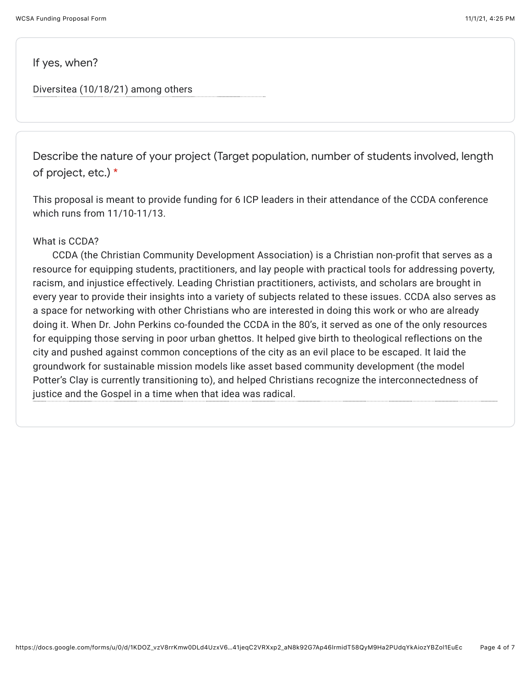If yes, when?

Diversitea (10/18/21) among others

Describe the nature of your project (Target population, number of students involved, length of project, etc.) \*

This proposal is meant to provide funding for 6 ICP leaders in their attendance of the CCDA conference which runs from 11/10-11/13.

## What is CCDA?

 CCDA (the Christian Community Development Association) is a Christian non-profit that serves as a resource for equipping students, practitioners, and lay people with practical tools for addressing poverty, racism, and injustice effectively. Leading Christian practitioners, activists, and scholars are brought in every year to provide their insights into a variety of subjects related to these issues. CCDA also serves as a space for networking with other Christians who are interested in doing this work or who are already doing it. When Dr. John Perkins co-founded the CCDA in the 80's, it served as one of the only resources for equipping those serving in poor urban ghettos. It helped give birth to theological reflections on the city and pushed against common conceptions of the city as an evil place to be escaped. It laid the groundwork for sustainable mission models like asset based community development (the model Potter's Clay is currently transitioning to), and helped Christians recognize the interconnectedness of justice and the Gospel in a time when that idea was radical.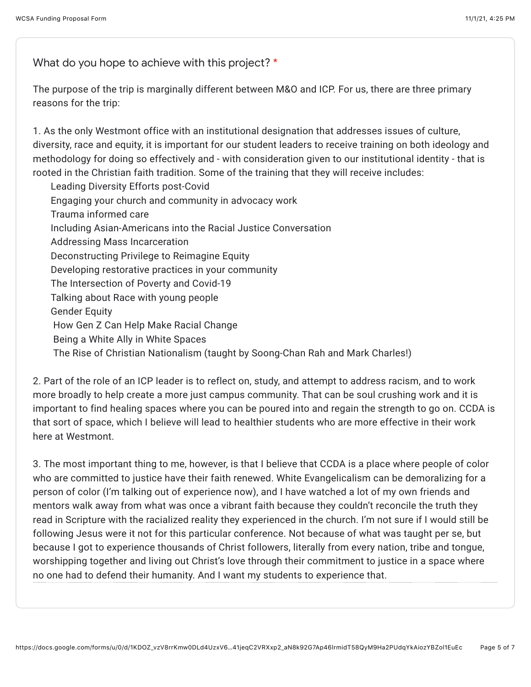What do you hope to achieve with this project? \*

The purpose of the trip is marginally different between M&O and ICP. For us, there are three primary reasons for the trip:

1. As the only Westmont office with an institutional designation that addresses issues of culture, diversity, race and equity, it is important for our student leaders to receive training on both ideology and methodology for doing so effectively and - with consideration given to our institutional identity - that is rooted in the Christian faith tradition. Some of the training that they will receive includes:

 Leading Diversity Efforts post-Covid Engaging your church and community in advocacy work Trauma informed care Including Asian-Americans into the Racial Justice Conversation Addressing Mass Incarceration Deconstructing Privilege to Reimagine Equity Developing restorative practices in your community The Intersection of Poverty and Covid-19 Talking about Race with young people Gender Equity How Gen Z Can Help Make Racial Change Being a White Ally in White Spaces The Rise of Christian Nationalism (taught by Soong-Chan Rah and Mark Charles!)

2. Part of the role of an ICP leader is to reflect on, study, and attempt to address racism, and to work more broadly to help create a more just campus community. That can be soul crushing work and it is important to find healing spaces where you can be poured into and regain the strength to go on. CCDA is that sort of space, which I believe will lead to healthier students who are more effective in their work here at Westmont.

3. The most important thing to me, however, is that I believe that CCDA is a place where people of color who are committed to justice have their faith renewed. White Evangelicalism can be demoralizing for a person of color (I'm talking out of experience now), and I have watched a lot of my own friends and mentors walk away from what was once a vibrant faith because they couldn't reconcile the truth they read in Scripture with the racialized reality they experienced in the church. I'm not sure if I would still be following Jesus were it not for this particular conference. Not because of what was taught per se, but because I got to experience thousands of Christ followers, literally from every nation, tribe and tongue, worshipping together and living out Christ's love through their commitment to justice in a space where no one had to defend their humanity. And I want my students to experience that.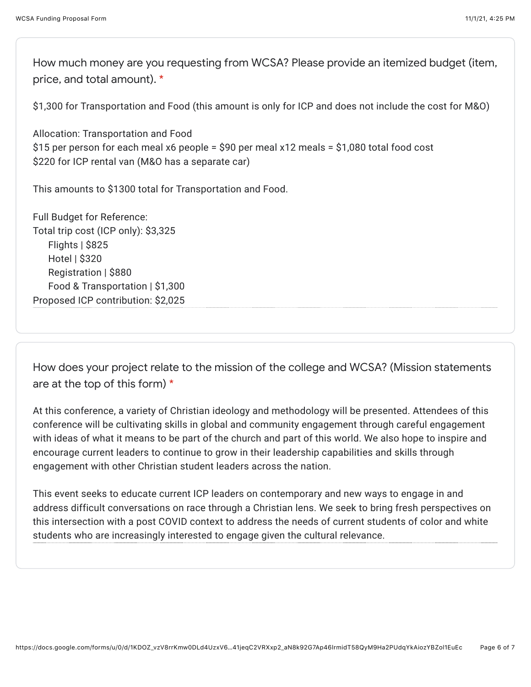How much money are you requesting from WCSA? Please provide an itemized budget (item, price, and total amount). \*

\$1,300 for Transportation and Food (this amount is only for ICP and does not include the cost for M&O)

Allocation: Transportation and Food \$15 per person for each meal x6 people = \$90 per meal x12 meals = \$1,080 total food cost \$220 for ICP rental van (M&O has a separate car)

This amounts to \$1300 total for Transportation and Food.

Full Budget for Reference: Total trip cost (ICP only): \$3,325 Flights | \$825 Hotel | \$320 Registration | \$880 Food & Transportation | \$1,300 Proposed ICP contribution: \$2,025

How does your project relate to the mission of the college and WCSA? (Mission statements are at the top of this form) \*

At this conference, a variety of Christian ideology and methodology will be presented. Attendees of this conference will be cultivating skills in global and community engagement through careful engagement with ideas of what it means to be part of the church and part of this world. We also hope to inspire and encourage current leaders to continue to grow in their leadership capabilities and skills through engagement with other Christian student leaders across the nation.

This event seeks to educate current ICP leaders on contemporary and new ways to engage in and address difficult conversations on race through a Christian lens. We seek to bring fresh perspectives on this intersection with a post COVID context to address the needs of current students of color and white students who are increasingly interested to engage given the cultural relevance.